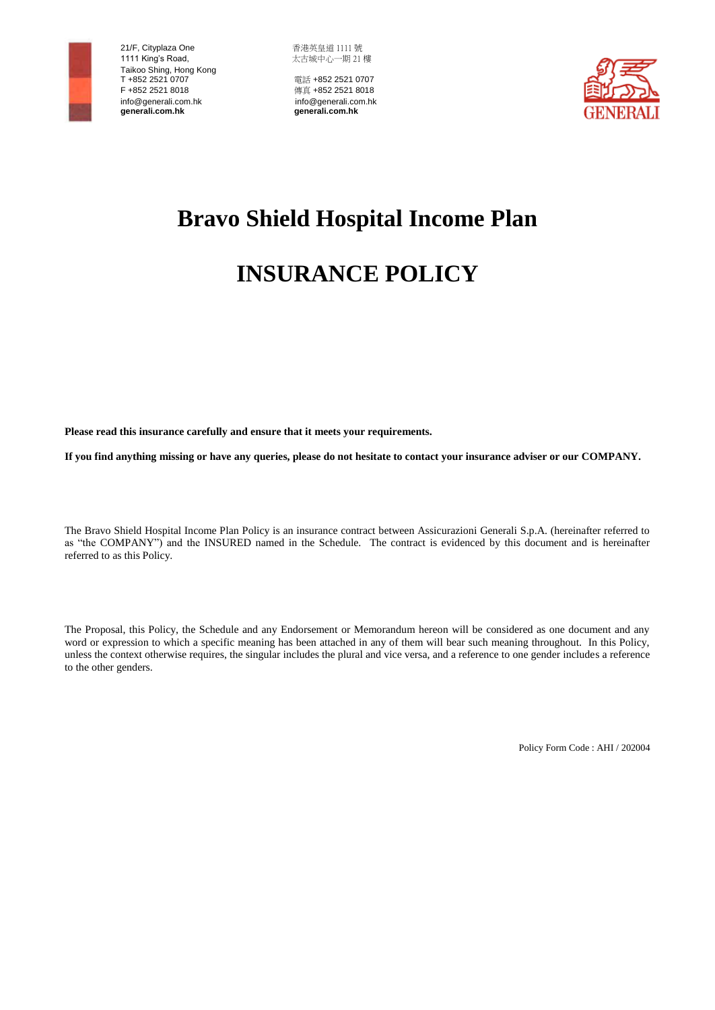

 21/F, Cityplaza One 香港英皇道 1111 號 1111 King's Road, http://www.facebook.com/ 太古城中心一期 21 樓 Taikoo Shing, Hong Kong<br>T +852 2521 0707 F +852 2521 8018<br>
info@generali.com.hk<br>
info@generali.com.hk<br>
info@generali.com.hk info@generali.com.hk info@generali.com.hk  **generali.com.hk generali.com.hk**

電話 +852 2521 0707



# **Bravo Shield Hospital Income Plan**

# **INSURANCE POLICY**

**Please read this insurance carefully and ensure that it meets your requirements.**

**If you find anything missing or have any queries, please do not hesitate to contact your insurance adviser or our COMPANY.**

The Bravo Shield Hospital Income Plan Policy is an insurance contract between Assicurazioni Generali S.p.A. (hereinafter referred to as "the COMPANY") and the INSURED named in the Schedule. The contract is evidenced by this document and is hereinafter referred to as this Policy.

The Proposal, this Policy, the Schedule and any Endorsement or Memorandum hereon will be considered as one document and any word or expression to which a specific meaning has been attached in any of them will bear such meaning throughout. In this Policy, unless the context otherwise requires, the singular includes the plural and vice versa, and a reference to one gender includes a reference to the other genders.

Policy Form Code : AHI / 202004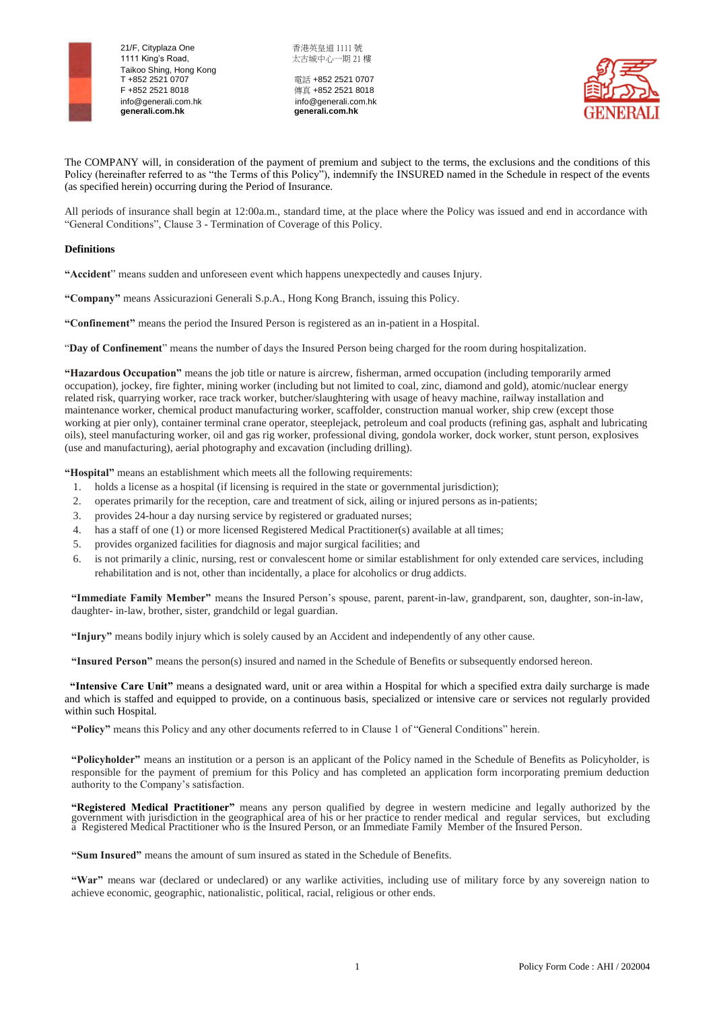

 21/F, Cityplaza One 香港英皇道 1111 號 1111 King's Road, https://www.facebook.com/ 太古城中心一期 21 樓 Taikoo Shing, Hong Kong<br>T +852 2521 0707 F +852 2521 8018<br>
info@generali.com.hk info@generali.com.hk  **generali.com.hk generali.com.hk**

電話 +852 2521 0707 info@generali.com.hk info@generali.com<br>generali.com.hk info@generali.com.hk<br>generali.com.hk



The COMPANY will, in consideration of the payment of premium and subject to the terms, the exclusions and the conditions of this Policy (hereinafter referred to as "the Terms of this Policy"), indemnify the INSURED named in the Schedule in respect of the events (as specified herein) occurring during the Period of Insurance.

All periods of insurance shall begin at 12:00a.m., standard time, at the place where the Policy was issued and end in accordance with "General Conditions", Clause 3 - Termination of Coverage of this Policy.

# **Definitions**

**"Accident**" means sudden and unforeseen event which happens unexpectedly and causes Injury.

**"Company"** means Assicurazioni Generali S.p.A., Hong Kong Branch, issuing this Policy.

**"Confinement"** means the period the Insured Person is registered as an in-patient in a Hospital.

"**Day of Confinement**" means the number of days the Insured Person being charged for the room during hospitalization.

**"Hazardous Occupation"** means the job title or nature is aircrew, fisherman, armed occupation (including temporarily armed occupation), jockey, fire fighter, mining worker (including but not limited to coal, zinc, diamond and gold), atomic/nuclear energy related risk, quarrying worker, race track worker, butcher/slaughtering with usage of heavy machine, railway installation and maintenance worker, chemical product manufacturing worker, scaffolder, construction manual worker, ship crew (except those working at pier only), container terminal crane operator, steeplejack, petroleum and coal products (refining gas, asphalt and lubricating oils), steel manufacturing worker, oil and gas rig worker, professional diving, gondola worker, dock worker, stunt person, explosives (use and manufacturing), aerial photography and excavation (including drilling).

**"Hospital"** means an establishment which meets all the following requirements:

- 1. holds a license as a hospital (if licensing is required in the state or governmental jurisdiction);
- 2. operates primarily for the reception, care and treatment of sick, ailing or injured persons as in-patients;
- 3. provides 24-hour a day nursing service by registered or graduated nurses;
- 4. has a staff of one (1) or more licensed Registered Medical Practitioner(s) available at all times;
- 5. provides organized facilities for diagnosis and major surgical facilities; and
- 6. is not primarily a clinic, nursing, rest or convalescent home or similar establishment for only extended care services, including rehabilitation and is not, other than incidentally, a place for alcoholics or drug addicts.

**"Immediate Family Member"** means the Insured Person's spouse, parent, parent-in-law, grandparent, son, daughter, son-in-law, daughter- in-law, brother, sister, grandchild or legal guardian.

**"Injury"** means bodily injury which is solely caused by an Accident and independently of any other cause.

**"Insured Person"** means the person(s) insured and named in the Schedule of Benefits or subsequently endorsed hereon.

 **"Intensive Care Unit"** means a designated ward, unit or area within a Hospital for which a specified extra daily surcharge is made and which is staffed and equipped to provide, on a continuous basis, specialized or intensive care or services not regularly provided within such Hospital.

**"Policy"** means this Policy and any other documents referred to in Clause 1 of "General Conditions" herein.

**"Policyholder"** means an institution or a person is an applicant of the Policy named in the Schedule of Benefits as Policyholder, is responsible for the payment of premium for this Policy and has completed an application form incorporating premium deduction authority to the Company's satisfaction.

**"Registered Medical Practitioner"** means any person qualified by degree in western medicine and legally authorized by the government with jurisdiction in the geographical area of his or her practice to render medical and regular services, but excluding a Registered Medical Practitioner who is the Insured Person, or an Immediate Family Member of the Insured Person.

**"Sum Insured"** means the amount of sum insured as stated in the Schedule of Benefits.

**"War"** means war (declared or undeclared) or any warlike activities, including use of military force by any sovereign nation to achieve economic, geographic, nationalistic, political, racial, religious or other ends.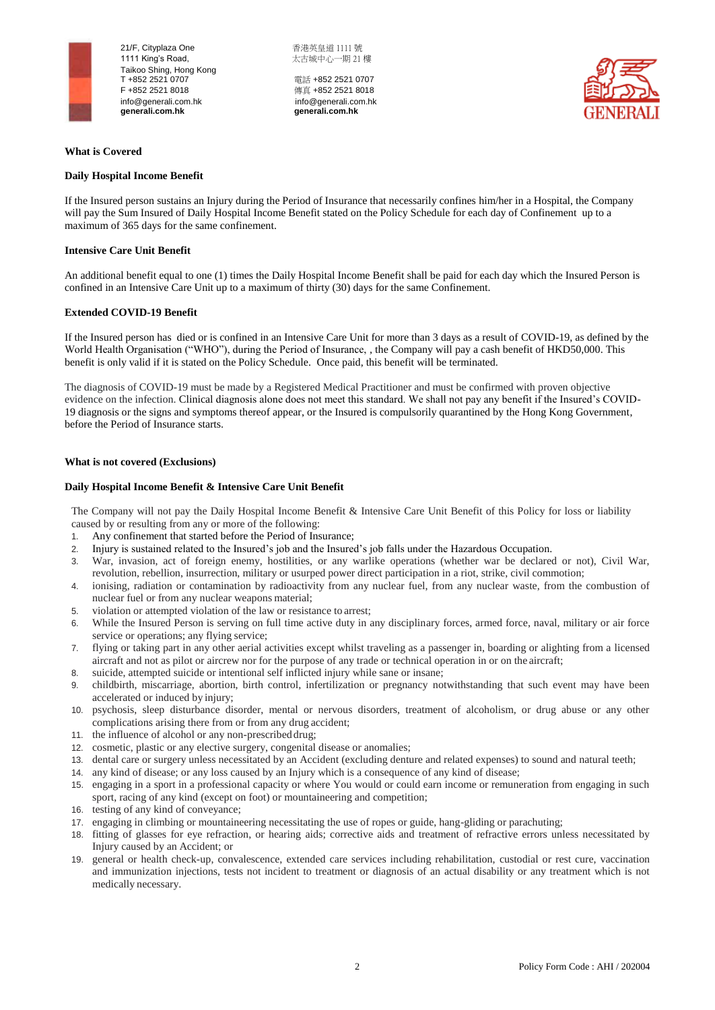

21/F. Cityplaza One <br> **Example 21/F.** Cityplaza One 1111 King's Road, https://www.facebook.com/ 太古城中心一期 21 樓 Taikoo Shing, Hong Kong<br>T +852 2521 0707 F +852 2521 8018<br>
info@generali.com.hk info@generali.com.hk info@generali.com.hk<br>generali.com.hk

電話 +852 2521 0707  **generali.com.hk generali.com.hk**



# **What is Covered**

# **Daily Hospital Income Benefit**

If the Insured person sustains an Injury during the Period of Insurance that necessarily confines him/her in a Hospital, the Company will pay the Sum Insured of Daily Hospital Income Benefit stated on the Policy Schedule for each day of Confinement up to a maximum of 365 days for the same confinement.

## **Intensive Care Unit Benefit**

An additional benefit equal to one (1) times the Daily Hospital Income Benefit shall be paid for each day which the Insured Person is confined in an Intensive Care Unit up to a maximum of thirty (30) days for the same Confinement.

# **Extended COVID-19 Benefit**

If the Insured person has died or is confined in an Intensive Care Unit for more than 3 days as a result of COVID-19, as defined by the World Health Organisation ("WHO"), during the Period of Insurance, , the Company will pay a cash benefit of HKD50,000. This benefit is only valid if it is stated on the Policy Schedule. Once paid, this benefit will be terminated.

The diagnosis of COVID-19 must be made by a Registered Medical Practitioner and must be confirmed with proven objective evidence on the infection. Clinical diagnosis alone does not meet this standard. We shall not pay any benefit if the Insured's COVID-19 diagnosis or the signs and symptoms thereof appear, or the Insured is compulsorily quarantined by the Hong Kong Government, before the Period of Insurance starts.

#### **What is not covered (Exclusions)**

#### **Daily Hospital Income Benefit & Intensive Care Unit Benefit**

The Company will not pay the Daily Hospital Income Benefit & Intensive Care Unit Benefit of this Policy for loss or liability caused by or resulting from any or more of the following:

- 1. Any confinement that started before the Period of Insurance;
- 2. Injury is sustained related to the Insured's job and the Insured's job falls under the Hazardous Occupation.
- 3. War, invasion, act of foreign enemy, hostilities, or any warlike operations (whether war be declared or not), Civil War, revolution, rebellion, insurrection, military or usurped power direct participation in a riot, strike, civil commotion;
- 4. ionising, radiation or contamination by radioactivity from any nuclear fuel, from any nuclear waste, from the combustion of nuclear fuel or from any nuclear weapons material;
- 5. violation or attempted violation of the law or resistance to arrest;
- 6. While the Insured Person is serving on full time active duty in any disciplinary forces, armed force, naval, military or air force service or operations; any flying service;
- 7. flying or taking part in any other aerial activities except whilst traveling as a passenger in, boarding or alighting from a licensed aircraft and not as pilot or aircrew nor for the purpose of any trade or technical operation in or on the aircraft;
- 8. suicide, attempted suicide or intentional self inflicted injury while sane or insane;
- 9. childbirth, miscarriage, abortion, birth control, infertilization or pregnancy notwithstanding that such event may have been accelerated or induced by injury;
- 10. psychosis, sleep disturbance disorder, mental or nervous disorders, treatment of alcoholism, or drug abuse or any other complications arising there from or from any drug accident;
- 11. the influence of alcohol or any non-prescribed drug;
- 12. cosmetic, plastic or any elective surgery, congenital disease or anomalies;
- 13. dental care or surgery unless necessitated by an Accident (excluding denture and related expenses) to sound and natural teeth;
- 14. any kind of disease; or any loss caused by an Injury which is a consequence of any kind of disease;
- 15. engaging in a sport in a professional capacity or where You would or could earn income or remuneration from engaging in such sport, racing of any kind (except on foot) or mountaineering and competition;
- 16. testing of any kind of conveyance;
- 17. engaging in climbing or mountaineering necessitating the use of ropes or guide, hang-gliding or parachuting;
- 18. fitting of glasses for eye refraction, or hearing aids; corrective aids and treatment of refractive errors unless necessitated by Injury caused by an Accident; or
- 19. general or health check-up, convalescence, extended care services including rehabilitation, custodial or rest cure, vaccination and immunization injections, tests not incident to treatment or diagnosis of an actual disability or any treatment which is not medically necessary.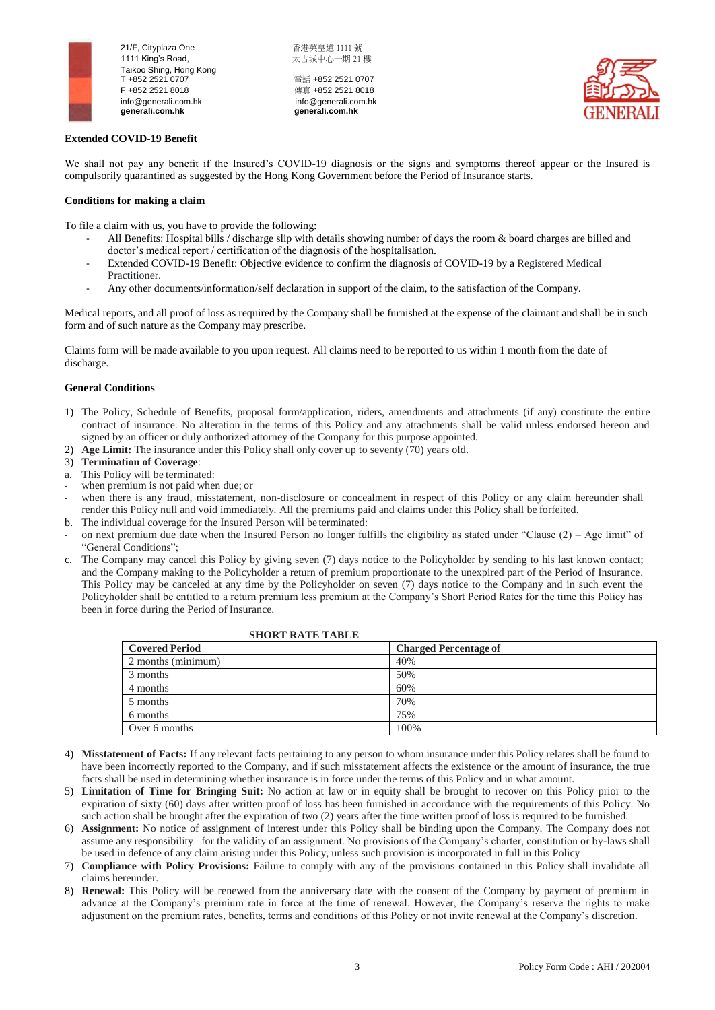

21/F. Cityplaza One <br> **Example 21/F.** Cityplaza One 1111 King's Road, https://www.facebook.com/ 太古城中心一期 21 樓 Taikoo Shing, Hong Kong<br>T +852 2521 0707 F +852 2521 8018<br>
info@generali.com.hk<br>
info@generali.com.hk<br>
info@generali.com.hk info@generali.com.hk<br>generali.com.hk

電話 +852 2521 0707  **generali.com.hk generali.com.hk**



# **Extended COVID-19 Benefit**

We shall not pay any benefit if the Insured's COVID-19 diagnosis or the signs and symptoms thereof appear or the Insured is compulsorily quarantined as suggested by the Hong Kong Government before the Period of Insurance starts.

# **Conditions for making a claim**

To file a claim with us, you have to provide the following:

- All Benefits: Hospital bills / discharge slip with details showing number of days the room & board charges are billed and doctor's medical report / certification of the diagnosis of the hospitalisation.
- Extended COVID-19 Benefit: Objective evidence to confirm the diagnosis of COVID-19 by a Registered Medical Practitioner.
- Any other documents/information/self declaration in support of the claim, to the satisfaction of the Company.

Medical reports, and all proof of loss as required by the Company shall be furnished at the expense of the claimant and shall be in such form and of such nature as the Company may prescribe.

Claims form will be made available to you upon request. All claims need to be reported to us within 1 month from the date of discharge.

# **General Conditions**

- 1) The Policy, Schedule of Benefits, proposal form/application, riders, amendments and attachments (if any) constitute the entire contract of insurance. No alteration in the terms of this Policy and any attachments shall be valid unless endorsed hereon and signed by an officer or duly authorized attorney of the Company for this purpose appointed.
- 2) **Age Limit:** The insurance under this Policy shall only cover up to seventy (70) years old.
- 3) **Termination of Coverage**:
- a. This Policy will be terminated:
- when premium is not paid when due; or
- when there is any fraud, misstatement, non-disclosure or concealment in respect of this Policy or any claim hereunder shall render this Policy null and void immediately. All the premiums paid and claims under this Policy shall be forfeited.
- b. The individual coverage for the Insured Person will be terminated:
- on next premium due date when the Insured Person no longer fulfills the eligibility as stated under "Clause  $(2)$  Age limit" of "General Conditions";
- c. The Company may cancel this Policy by giving seven (7) days notice to the Policyholder by sending to his last known contact; and the Company making to the Policyholder a return of premium proportionate to the unexpired part of the Period of Insurance. This Policy may be canceled at any time by the Policyholder on seven (7) days notice to the Company and in such event the Policyholder shall be entitled to a return premium less premium at the Company's Short Period Rates for the time this Policy has been in force during the Period of Insurance.

SHORT **RATE** TABLE

| SHUKI KATE TABLE      |                              |
|-----------------------|------------------------------|
| <b>Covered Period</b> | <b>Charged Percentage of</b> |
| 2 months (minimum)    | 40%                          |
| 3 months              | 50%                          |
| 4 months              | 60%                          |
| 5 months              | 70%                          |
| 6 months              | 75%                          |
| Over 6 months         | 100%                         |

- 4) **Misstatement of Facts:** If any relevant facts pertaining to any person to whom insurance under this Policy relates shall be found to have been incorrectly reported to the Company, and if such misstatement affects the existence or the amount of insurance, the true facts shall be used in determining whether insurance is in force under the terms of this Policy and in what amount.
- 5) **Limitation of Time for Bringing Suit:** No action at law or in equity shall be brought to recover on this Policy prior to the expiration of sixty (60) days after written proof of loss has been furnished in accordance with the requirements of this Policy. No such action shall be brought after the expiration of two (2) years after the time written proof of loss is required to be furnished.
- 6) **Assignment:** No notice of assignment of interest under this Policy shall be binding upon the Company. The Company does not assume any responsibility for the validity of an assignment. No provisions of the Company's charter, constitution or by-laws shall be used in defence of any claim arising under this Policy, unless such provision is incorporated in full in this Policy
- 7) **Compliance with Policy Provisions:** Failure to comply with any of the provisions contained in this Policy shall invalidate all claims hereunder.
- 8) **Renewal:** This Policy will be renewed from the anniversary date with the consent of the Company by payment of premium in advance at the Company's premium rate in force at the time of renewal. However, the Company's reserve the rights to make adjustment on the premium rates, benefits, terms and conditions of this Policy or not invite renewal at the Company's discretion.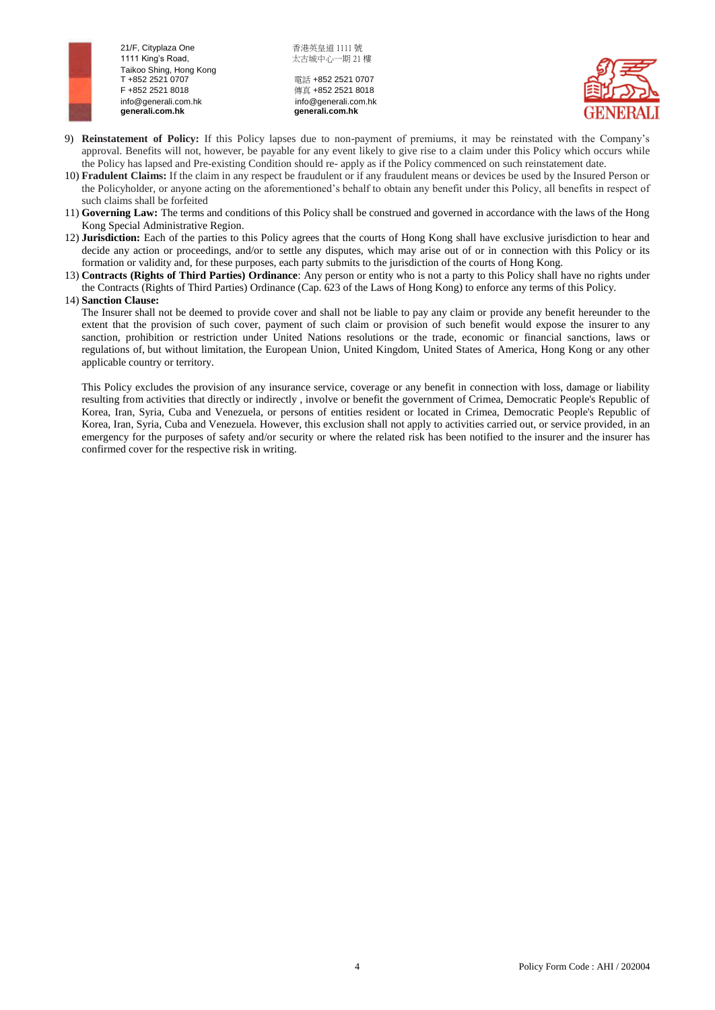

21/F. Cityplaza One <br> **Example 21/F.** Cityplaza One 1111 King's Road, https://www.facebook.com/ 太古城中心一期 21 樓 Taikoo Shing, Hong Kong<br>T +852 2521 0707 F +852 2521 8018<br>
info@generali.com.hk<br>
info@generali.com.hk<br>
info@generali.com.hk info@generali.com.hk<br>generali.com.hk

電話 +852 2521 0707  **generali.com.hk generali.com.hk**



- 9) **Reinstatement of Policy:** If this Policy lapses due to non-payment of premiums, it may be reinstated with the Company's approval. Benefits will not, however, be payable for any event likely to give rise to a claim under this Policy which occurs while the Policy has lapsed and Pre-existing Condition should re- apply as if the Policy commenced on such reinstatement date.
- 10) **Fradulent Claims:** If the claim in any respect be fraudulent or if any fraudulent means or devices be used by the Insured Person or the Policyholder, or anyone acting on the aforementioned's behalf to obtain any benefit under this Policy, all benefits in respect of such claims shall be forfeited
- 11) **Governing Law:** The terms and conditions of this Policy shall be construed and governed in accordance with the laws of the Hong Kong Special Administrative Region.
- 12) **Jurisdiction:** Each of the parties to this Policy agrees that the courts of Hong Kong shall have exclusive jurisdiction to hear and decide any action or proceedings, and/or to settle any disputes, which may arise out of or in connection with this Policy or its formation or validity and, for these purposes, each party submits to the jurisdiction of the courts of Hong Kong.
- 13) **Contracts (Rights of Third Parties) Ordinance**: Any person or entity who is not a party to this Policy shall have no rights under the Contracts (Rights of Third Parties) Ordinance (Cap. 623 of the Laws of Hong Kong) to enforce any terms of this Policy.

### 14) **Sanction Clause:**

The Insurer shall not be deemed to provide cover and shall not be liable to pay any claim or provide any benefit hereunder to the extent that the provision of such cover, payment of such claim or provision of such benefit would expose the insurer to any sanction, prohibition or restriction under United Nations resolutions or the trade, economic or financial sanctions, laws or regulations of, but without limitation, the European Union, United Kingdom, United States of America, Hong Kong or any other applicable country or territory.

This Policy excludes the provision of any insurance service, coverage or any benefit in connection with loss, damage or liability resulting from activities that directly or indirectly , involve or benefit the government of Crimea, Democratic People's Republic of Korea, Iran, Syria, Cuba and Venezuela, or persons of entities resident or located in Crimea, Democratic People's Republic of Korea, Iran, Syria, Cuba and Venezuela. However, this exclusion shall not apply to activities carried out, or service provided, in an emergency for the purposes of safety and/or security or where the related risk has been notified to the insurer and the insurer has confirmed cover for the respective risk in writing.